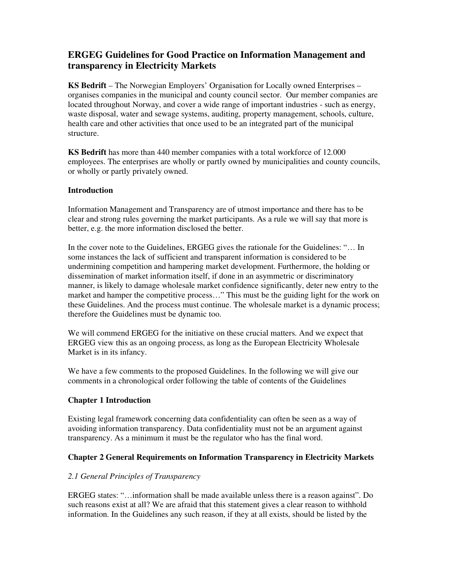# **ERGEG Guidelines for Good Practice on Information Management and transparency in Electricity Markets**

**KS Bedrift** – The Norwegian Employers' Organisation for Locally owned Enterprises – organises companies in the municipal and county council sector. Our member companies are located throughout Norway, and cover a wide range of important industries - such as energy, waste disposal, water and sewage systems, auditing, property management, schools, culture, health care and other activities that once used to be an integrated part of the municipal structure.

**KS Bedrift** has more than 440 member companies with a total workforce of 12.000 employees. The enterprises are wholly or partly owned by municipalities and county councils, or wholly or partly privately owned.

# **Introduction**

Information Management and Transparency are of utmost importance and there has to be clear and strong rules governing the market participants. As a rule we will say that more is better, e.g. the more information disclosed the better.

In the cover note to the Guidelines, ERGEG gives the rationale for the Guidelines: "… In some instances the lack of sufficient and transparent information is considered to be undermining competition and hampering market development. Furthermore, the holding or dissemination of market information itself, if done in an asymmetric or discriminatory manner, is likely to damage wholesale market confidence significantly, deter new entry to the market and hamper the competitive process..." This must be the guiding light for the work on these Guidelines. And the process must continue. The wholesale market is a dynamic process; therefore the Guidelines must be dynamic too.

We will commend ERGEG for the initiative on these crucial matters. And we expect that ERGEG view this as an ongoing process, as long as the European Electricity Wholesale Market is in its infancy.

We have a few comments to the proposed Guidelines. In the following we will give our comments in a chronological order following the table of contents of the Guidelines

# **Chapter 1 Introduction**

Existing legal framework concerning data confidentiality can often be seen as a way of avoiding information transparency. Data confidentiality must not be an argument against transparency. As a minimum it must be the regulator who has the final word.

# **Chapter 2 General Requirements on Information Transparency in Electricity Markets**

# *2.1 General Principles of Transparency*

ERGEG states: "…information shall be made available unless there is a reason against". Do such reasons exist at all? We are afraid that this statement gives a clear reason to withhold information. In the Guidelines any such reason, if they at all exists, should be listed by the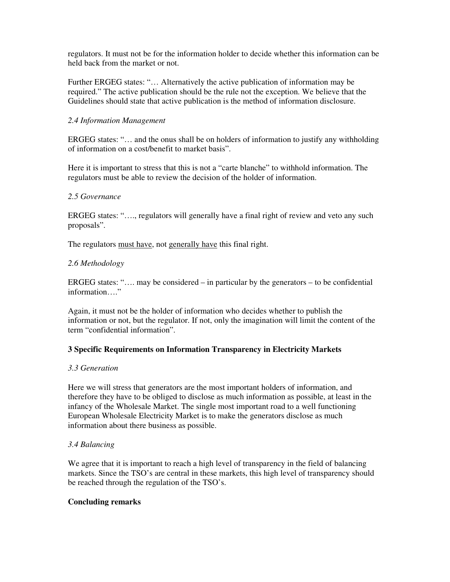regulators. It must not be for the information holder to decide whether this information can be held back from the market or not.

Further ERGEG states: "… Alternatively the active publication of information may be required." The active publication should be the rule not the exception. We believe that the Guidelines should state that active publication is the method of information disclosure.

### *2.4 Information Management*

ERGEG states: "… and the onus shall be on holders of information to justify any withholding of information on a cost/benefit to market basis".

Here it is important to stress that this is not a "carte blanche" to withhold information. The regulators must be able to review the decision of the holder of information.

#### *2.5 Governance*

ERGEG states: "…., regulators will generally have a final right of review and veto any such proposals".

The regulators must have, not generally have this final right.

#### *2.6 Methodology*

ERGEG states: ".... may be considered – in particular by the generators – to be confidential information…."

Again, it must not be the holder of information who decides whether to publish the information or not, but the regulator. If not, only the imagination will limit the content of the term "confidential information".

# **3 Specific Requirements on Information Transparency in Electricity Markets**

#### *3.3 Generation*

Here we will stress that generators are the most important holders of information, and therefore they have to be obliged to disclose as much information as possible, at least in the infancy of the Wholesale Market. The single most important road to a well functioning European Wholesale Electricity Market is to make the generators disclose as much information about there business as possible.

# *3.4 Balancing*

We agree that it is important to reach a high level of transparency in the field of balancing markets. Since the TSO's are central in these markets, this high level of transparency should be reached through the regulation of the TSO's.

#### **Concluding remarks**